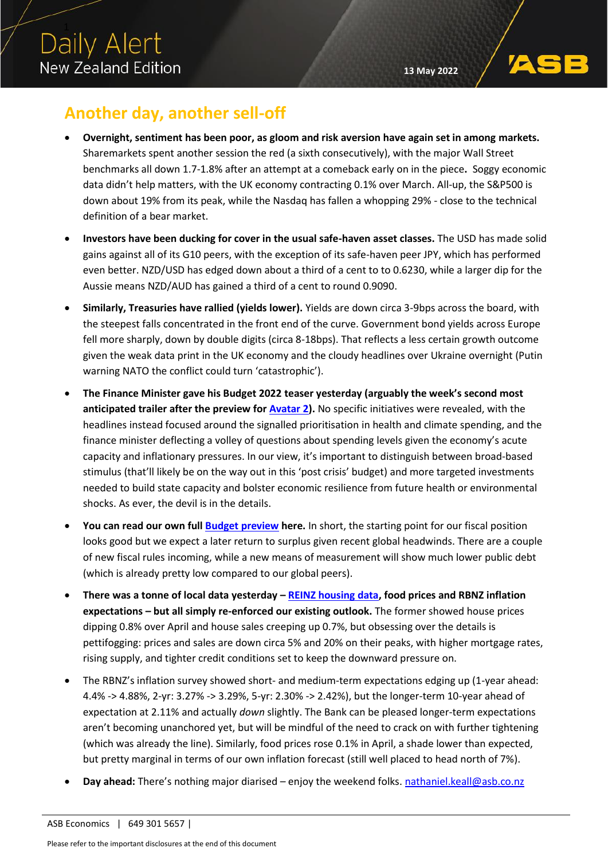# **Another day, another sell-off**

- **Overnight, sentiment has been poor, as gloom and risk aversion have again set in among markets.** Sharemarkets spent another session the red (a sixth consecutively), with the major Wall Street benchmarks all down 1.7-1.8% after an attempt at a comeback early on in the piece**.** Soggy economic data didn't help matters, with the UK economy contracting 0.1% over March. All-up, the S&P500 is down about 19% from its peak, while the Nasdaq has fallen a whopping 29% - close to the technical definition of a bear market.
- **Investors have been ducking for cover in the usual safe-haven asset classes.** The USD has made solid gains against all of its G10 peers, with the exception of its safe-haven peer JPY, which has performed even better. NZD/USD has edged down about a third of a cent to to 0.6230, while a larger dip for the Aussie means NZD/AUD has gained a third of a cent to round 0.9090.
- **Similarly, Treasuries have rallied (yields lower).** Yields are down circa 3-9bps across the board, with the steepest falls concentrated in the front end of the curve. Government bond yields across Europe fell more sharply, down by double digits (circa 8-18bps). That reflects a less certain growth outcome given the weak data print in the UK economy and the cloudy headlines over Ukraine overnight (Putin warning NATO the conflict could turn 'catastrophic').
- **The Finance Minister gave his Budget 2022 teaser yesterday (arguably the week's second most anticipated trailer after the preview fo[r Avatar 2\)](https://www.theguardian.com/film/2022/may/09/avatar-the-way-of-water-trailer-sequel-james-cameron).** No specific initiatives were revealed, with the headlines instead focused around the signalled prioritisation in health and climate spending, and the finance minister deflecting a volley of questions about spending levels given the economy's acute capacity and inflationary pressures. In our view, it's important to distinguish between broad-based stimulus (that'll likely be on the way out in this 'post crisis' budget) and more targeted investments needed to build state capacity and bolster economic resilience from future health or environmental shocks. As ever, the devil is in the details.
- **You can read our own full [Budget preview](https://www.asb.co.nz/content/dam/asb/documents/reports/economic-note/budget-2022-preview.pdf) here.** In short, the starting point for our fiscal position looks good but we expect a later return to surplus given recent global headwinds. There are a couple of new fiscal rules incoming, while a new means of measurement will show much lower public debt (which is already pretty low compared to our global peers).
- **There was a tonne of local data yesterday – [REINZ housing data,](https://www.asb.co.nz/content/dam/asb/documents/reports/economic-note/reinz-Apr-2022.pdf) food prices and RBNZ inflation expectations – but all simply re-enforced our existing outlook.** The former showed house prices dipping 0.8% over April and house sales creeping up 0.7%, but obsessing over the details is pettifogging: prices and sales are down circa 5% and 20% on their peaks, with higher mortgage rates, rising supply, and tighter credit conditions set to keep the downward pressure on.
- The RBNZ's inflation survey showed short- and medium-term expectations edging up (1-year ahead: 4.4% -> 4.88%, 2-yr: 3.27% -> 3.29%, 5-yr: 2.30% -> 2.42%), but the longer-term 10-year ahead of expectation at 2.11% and actually *down* slightly. The Bank can be pleased longer-term expectations aren't becoming unanchored yet, but will be mindful of the need to crack on with further tightening (which was already the line). Similarly, food prices rose 0.1% in April, a shade lower than expected, but pretty marginal in terms of our own inflation forecast (still well placed to head north of 7%).
- **Day ahead:** There's nothing major diarised enjoy the weekend folks. [nathaniel.keall@asb.co.nz](mailto:nathaniel.keall@asb.co.nz)